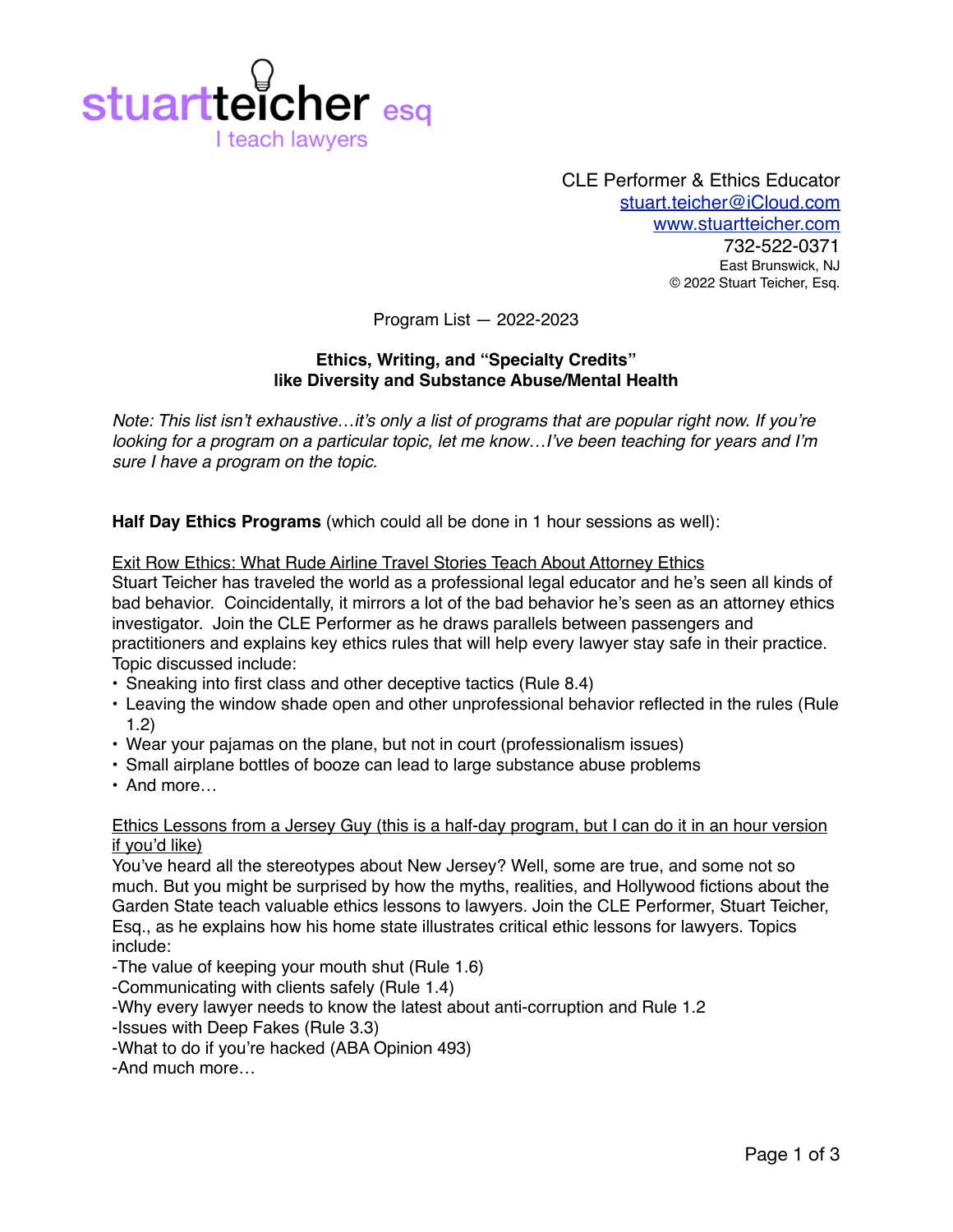

CLE Performer & Ethics Educator [stuart.teicher@iCloud.com](mailto:stuart.teicher@iCloud.com) [www.stuartteicher.com](http://www.stuartteicher.com) 732-522-0371 East Brunswick, NJ © 2022 Stuart Teicher, Esq.

Program List — 2022-2023

## **Ethics, Writing, and "Specialty Credits" like Diversity and Substance Abuse/Mental Health**

*Note: This list isn't exhaustive…it's only a list of programs that are popular right now. If you're looking for a program on a particular topic, let me know…I've been teaching for years and I'm sure I have a program on the topic.*

**Half Day Ethics Programs** (which could all be done in 1 hour sessions as well):

Exit Row Ethics: What Rude Airline Travel Stories Teach About Attorney Ethics Stuart Teicher has traveled the world as a professional legal educator and he's seen all kinds of bad behavior. Coincidentally, it mirrors a lot of the bad behavior he's seen as an attorney ethics investigator. Join the CLE Performer as he draws parallels between passengers and practitioners and explains key ethics rules that will help every lawyer stay safe in their practice. Topic discussed include:

- Sneaking into first class and other deceptive tactics (Rule 8.4)
- Leaving the window shade open and other unprofessional behavior reflected in the rules (Rule 1.2)
- Wear your pajamas on the plane, but not in court (professionalism issues)
- Small airplane bottles of booze can lead to large substance abuse problems
- And more…

### Ethics Lessons from a Jersey Guy (this is a half-day program, but I can do it in an hour version if you'd like)

You've heard all the stereotypes about New Jersey? Well, some are true, and some not so much. But you might be surprised by how the myths, realities, and Hollywood fictions about the Garden State teach valuable ethics lessons to lawyers. Join the CLE Performer, Stuart Teicher, Esq., as he explains how his home state illustrates critical ethic lessons for lawyers. Topics include:

-The value of keeping your mouth shut (Rule 1.6)

-Communicating with clients safely (Rule 1.4)

-Why every lawyer needs to know the latest about anti-corruption and Rule 1.2

-Issues with Deep Fakes (Rule 3.3)

-What to do if you're hacked (ABA Opinion 493)

-And much more…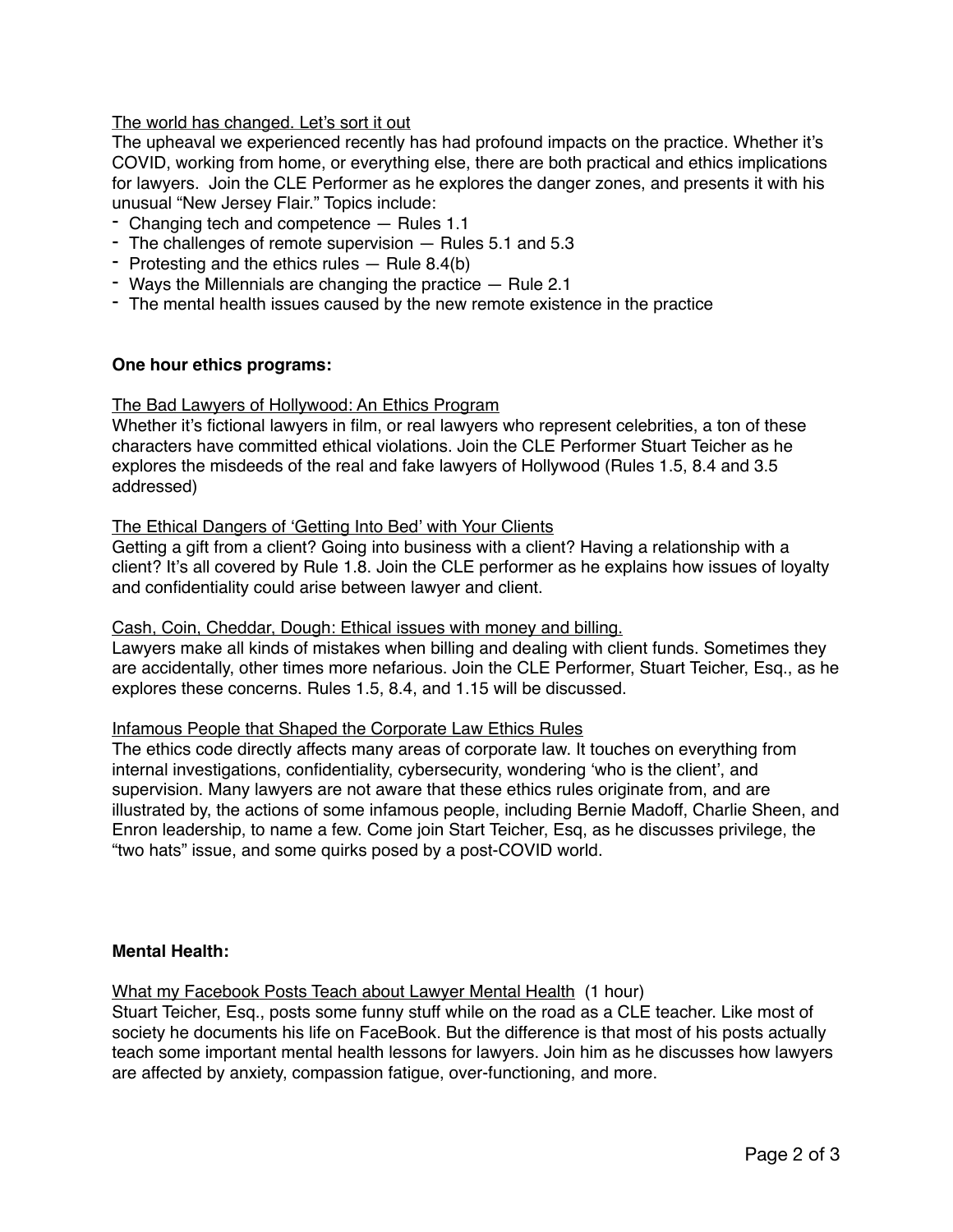# The world has changed. Let's sort it out

The upheaval we experienced recently has had profound impacts on the practice. Whether it's COVID, working from home, or everything else, there are both practical and ethics implications for lawyers. Join the CLE Performer as he explores the danger zones, and presents it with his unusual "New Jersey Flair." Topics include:

- Changing tech and competence Rules 1.1
- The challenges of remote supervision Rules 5.1 and 5.3
- Protesting and the ethics rules Rule 8.4(b)
- Ways the Millennials are changing the practice Rule 2.1
- The mental health issues caused by the new remote existence in the practice

### **One hour ethics programs:**

### The Bad Lawyers of Hollywood: An Ethics Program

Whether it's fictional lawyers in film, or real lawyers who represent celebrities, a ton of these characters have committed ethical violations. Join the CLE Performer Stuart Teicher as he explores the misdeeds of the real and fake lawyers of Hollywood (Rules 1.5, 8.4 and 3.5 addressed)

### The Ethical Dangers of 'Getting Into Bed' with Your Clients

Getting a gift from a client? Going into business with a client? Having a relationship with a client? It's all covered by Rule 1.8. Join the CLE performer as he explains how issues of loyalty and confidentiality could arise between lawyer and client.

### Cash, Coin, Cheddar, Dough: Ethical issues with money and billing.

Lawyers make all kinds of mistakes when billing and dealing with client funds. Sometimes they are accidentally, other times more nefarious. Join the CLE Performer, Stuart Teicher, Esq., as he explores these concerns. Rules 1.5, 8.4, and 1.15 will be discussed.

### Infamous People that Shaped the Corporate Law Ethics Rules

The ethics code directly affects many areas of corporate law. It touches on everything from internal investigations, confidentiality, cybersecurity, wondering 'who is the client', and supervision. Many lawyers are not aware that these ethics rules originate from, and are illustrated by, the actions of some infamous people, including Bernie Madoff, Charlie Sheen, and Enron leadership, to name a few. Come join Start Teicher, Esq, as he discusses privilege, the "two hats" issue, and some quirks posed by a post-COVID world.

## **Mental Health:**

### What my Facebook Posts Teach about Lawyer Mental Health (1 hour)

Stuart Teicher, Esq., posts some funny stuff while on the road as a CLE teacher. Like most of society he documents his life on FaceBook. But the difference is that most of his posts actually teach some important mental health lessons for lawyers. Join him as he discusses how lawyers are affected by anxiety, compassion fatigue, over-functioning, and more.